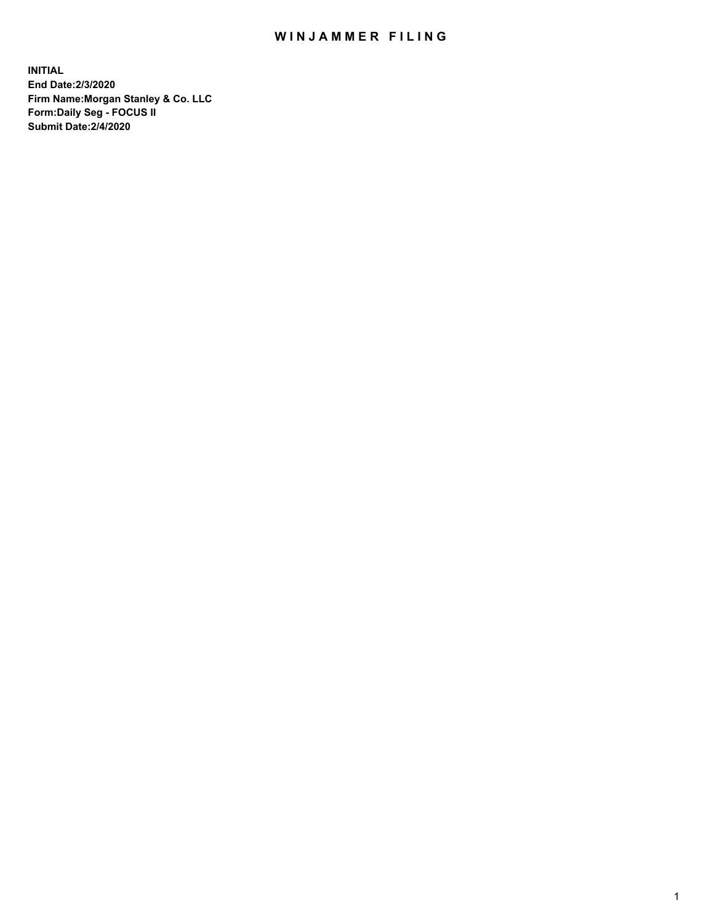## WIN JAMMER FILING

**INITIAL End Date:2/3/2020 Firm Name:Morgan Stanley & Co. LLC Form:Daily Seg - FOCUS II Submit Date:2/4/2020**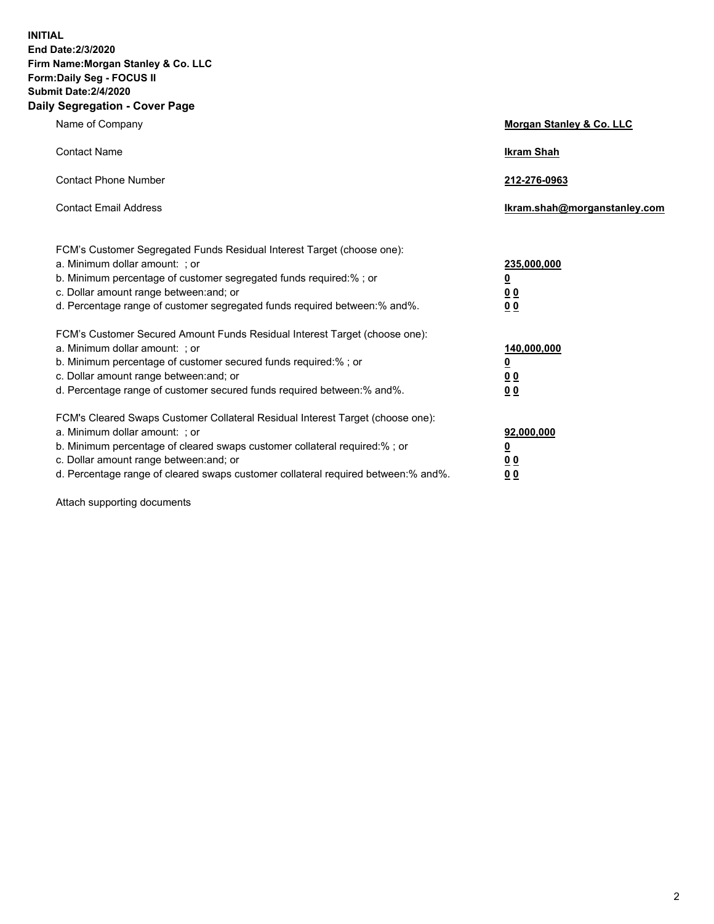**INITIAL End Date:2/3/2020 Firm Name:Morgan Stanley & Co. LLC Form:Daily Seg - FOCUS II Submit Date:2/4/2020 Daily Segregation - Cover Page**

| Name of Company                                                                   | Morgan Stanley & Co. LLC     |
|-----------------------------------------------------------------------------------|------------------------------|
| <b>Contact Name</b>                                                               | <b>Ikram Shah</b>            |
| <b>Contact Phone Number</b>                                                       | 212-276-0963                 |
| <b>Contact Email Address</b>                                                      | Ikram.shah@morganstanley.com |
| FCM's Customer Segregated Funds Residual Interest Target (choose one):            |                              |
| a. Minimum dollar amount: ; or                                                    | 235,000,000                  |
| b. Minimum percentage of customer segregated funds required:%; or                 | <u>0</u>                     |
| c. Dollar amount range between: and; or                                           | <u>00</u>                    |
| d. Percentage range of customer segregated funds required between:% and%.         | <u>00</u>                    |
| FCM's Customer Secured Amount Funds Residual Interest Target (choose one):        |                              |
| a. Minimum dollar amount: ; or                                                    | 140,000,000                  |
| b. Minimum percentage of customer secured funds required:%; or                    | <u>0</u>                     |
| c. Dollar amount range between: and; or                                           | <u>00</u>                    |
| d. Percentage range of customer secured funds required between: % and %.          | 0 <sub>0</sub>               |
| FCM's Cleared Swaps Customer Collateral Residual Interest Target (choose one):    |                              |
| a. Minimum dollar amount: ; or                                                    | 92,000,000                   |
| b. Minimum percentage of cleared swaps customer collateral required:% ; or        | <u>0</u>                     |
| c. Dollar amount range between: and; or                                           | 00                           |
| d. Percentage range of cleared swaps customer collateral required between:% and%. | 00                           |

Attach supporting documents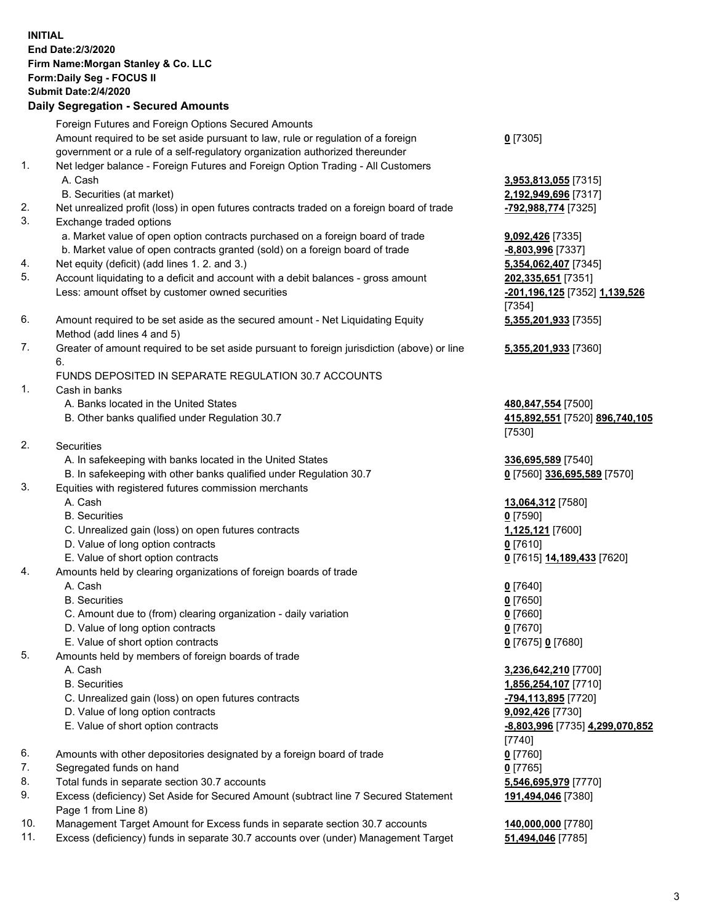|     | <b>INITIAL</b><br>End Date: 2/3/2020<br>Firm Name: Morgan Stanley & Co. LLC<br>Form: Daily Seg - FOCUS II<br><b>Submit Date: 2/4/2020</b><br><b>Daily Segregation - Secured Amounts</b> |                                       |
|-----|-----------------------------------------------------------------------------------------------------------------------------------------------------------------------------------------|---------------------------------------|
|     | Foreign Futures and Foreign Options Secured Amounts                                                                                                                                     |                                       |
|     | Amount required to be set aside pursuant to law, rule or regulation of a foreign<br>government or a rule of a self-regulatory organization authorized thereunder                        | $0$ [7305]                            |
| 1.  | Net ledger balance - Foreign Futures and Foreign Option Trading - All Customers                                                                                                         |                                       |
|     | A. Cash                                                                                                                                                                                 | 3,953,813,055 [7315]                  |
|     | B. Securities (at market)                                                                                                                                                               | 2,192,949,696 [7317]                  |
| 2.  | Net unrealized profit (loss) in open futures contracts traded on a foreign board of trade                                                                                               | -792,988,774 [7325]                   |
| 3.  | Exchange traded options                                                                                                                                                                 |                                       |
|     | a. Market value of open option contracts purchased on a foreign board of trade<br>b. Market value of open contracts granted (sold) on a foreign board of trade                          | 9,092,426 [7335]<br>-8,803,996 [7337] |
| 4.  | Net equity (deficit) (add lines 1. 2. and 3.)                                                                                                                                           | 5,354,062,407 [7345]                  |
| 5.  | Account liquidating to a deficit and account with a debit balances - gross amount                                                                                                       | 202,335,651 [7351]                    |
|     | Less: amount offset by customer owned securities                                                                                                                                        | -201,196,125 [7352] 1,139,526         |
|     |                                                                                                                                                                                         | [7354]                                |
| 6.  | Amount required to be set aside as the secured amount - Net Liquidating Equity                                                                                                          | 5,355,201,933 [7355]                  |
| 7.  | Method (add lines 4 and 5)<br>Greater of amount required to be set aside pursuant to foreign jurisdiction (above) or line                                                               | 5,355,201,933 [7360]                  |
|     | 6.                                                                                                                                                                                      |                                       |
|     | FUNDS DEPOSITED IN SEPARATE REGULATION 30.7 ACCOUNTS                                                                                                                                    |                                       |
| 1.  | Cash in banks                                                                                                                                                                           |                                       |
|     | A. Banks located in the United States                                                                                                                                                   | 480,847,554 [7500]                    |
|     | B. Other banks qualified under Regulation 30.7                                                                                                                                          | 415,892,551 [7520] 896,740,105        |
| 2.  | <b>Securities</b>                                                                                                                                                                       | [7530]                                |
|     | A. In safekeeping with banks located in the United States                                                                                                                               | 336,695,589 [7540]                    |
|     | B. In safekeeping with other banks qualified under Regulation 30.7                                                                                                                      | 0 [7560] 336,695,589 [7570]           |
| 3.  | Equities with registered futures commission merchants                                                                                                                                   |                                       |
|     | A. Cash                                                                                                                                                                                 | 13,064,312 [7580]                     |
|     | <b>B.</b> Securities                                                                                                                                                                    | $0$ [7590]                            |
|     | C. Unrealized gain (loss) on open futures contracts<br>D. Value of long option contracts                                                                                                | 1,125,121 [7600]<br>$0$ [7610]        |
|     | E. Value of short option contracts                                                                                                                                                      | 0 [7615] 14,189,433 [7620]            |
| 4.  | Amounts held by clearing organizations of foreign boards of trade                                                                                                                       |                                       |
|     | A. Cash                                                                                                                                                                                 | $0$ [7640]                            |
|     | <b>B.</b> Securities                                                                                                                                                                    | $0$ [7650]                            |
|     | C. Amount due to (from) clearing organization - daily variation                                                                                                                         | $0$ [7660]                            |
|     | D. Value of long option contracts<br>E. Value of short option contracts                                                                                                                 | $0$ [7670]<br>0 [7675] 0 [7680]       |
| 5.  | Amounts held by members of foreign boards of trade                                                                                                                                      |                                       |
|     | A. Cash                                                                                                                                                                                 | 3,236,642,210 [7700]                  |
|     | <b>B.</b> Securities                                                                                                                                                                    | 1,856,254,107 [7710]                  |
|     | C. Unrealized gain (loss) on open futures contracts                                                                                                                                     | -794,113,895 [7720]                   |
|     | D. Value of long option contracts                                                                                                                                                       | 9,092,426 [7730]                      |
|     | E. Value of short option contracts                                                                                                                                                      | -8,803,996 [7735] 4,299,070,852       |
| 6.  | Amounts with other depositories designated by a foreign board of trade                                                                                                                  | [7740]<br>$0$ [7760]                  |
| 7.  | Segregated funds on hand                                                                                                                                                                | $0$ [7765]                            |
| 8.  | Total funds in separate section 30.7 accounts                                                                                                                                           | 5,546,695,979 [7770]                  |
| 9.  | Excess (deficiency) Set Aside for Secured Amount (subtract line 7 Secured Statement                                                                                                     | 191,494,046 [7380]                    |
|     | Page 1 from Line 8)                                                                                                                                                                     |                                       |
| 10. | Management Target Amount for Excess funds in separate section 30.7 accounts                                                                                                             | 140,000,000 [7780]                    |

11. Excess (deficiency) funds in separate 30.7 accounts over (under) Management Target **51,494,046** [7785]

3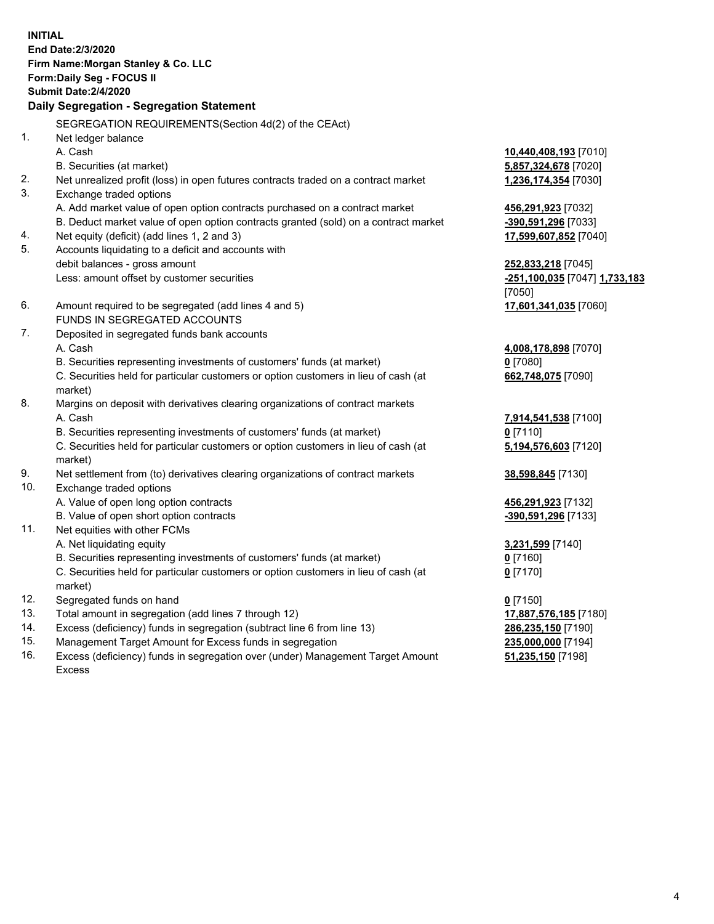**INITIAL End Date:2/3/2020 Firm Name:Morgan Stanley & Co. LLC Form:Daily Seg - FOCUS II Submit Date:2/4/2020 Daily Segregation - Segregation Statement** SEGREGATION REQUIREMENTS(Section 4d(2) of the CEAct) 1. Net ledger balance A. Cash **10,440,408,193** [7010] B. Securities (at market) **5,857,324,678** [7020] 2. Net unrealized profit (loss) in open futures contracts traded on a contract market **1,236,174,354** [7030] 3. Exchange traded options A. Add market value of open option contracts purchased on a contract market **456,291,923** [7032] B. Deduct market value of open option contracts granted (sold) on a contract market **-390,591,296** [7033] 4. Net equity (deficit) (add lines 1, 2 and 3) **17,599,607,852** [7040] 5. Accounts liquidating to a deficit and accounts with debit balances - gross amount **252,833,218** [7045] Less: amount offset by customer securities **-251,100,035** [7047] **1,733,183** [7050] 6. Amount required to be segregated (add lines 4 and 5) **17,601,341,035** [7060] FUNDS IN SEGREGATED ACCOUNTS 7. Deposited in segregated funds bank accounts A. Cash **4,008,178,898** [7070] B. Securities representing investments of customers' funds (at market) **0** [7080] C. Securities held for particular customers or option customers in lieu of cash (at market) **662,748,075** [7090] 8. Margins on deposit with derivatives clearing organizations of contract markets A. Cash **7,914,541,538** [7100] B. Securities representing investments of customers' funds (at market) **0** [7110] C. Securities held for particular customers or option customers in lieu of cash (at market) **5,194,576,603** [7120] 9. Net settlement from (to) derivatives clearing organizations of contract markets **38,598,845** [7130] 10. Exchange traded options A. Value of open long option contracts **456,291,923** [7132] B. Value of open short option contracts **and the set of our of the set of our of the set of the set of the set of the set of the set of the set of the set of the set of the set of the set of the set of the set of the set o** 11. Net equities with other FCMs A. Net liquidating equity **3,231,599** [7140] B. Securities representing investments of customers' funds (at market) **0** [7160] C. Securities held for particular customers or option customers in lieu of cash (at market) **0** [7170] 12. Segregated funds on hand **0** [7150] 13. Total amount in segregation (add lines 7 through 12) **17,887,576,185** [7180] 14. Excess (deficiency) funds in segregation (subtract line 6 from line 13) **286,235,150** [7190]

- 15. Management Target Amount for Excess funds in segregation **235,000,000** [7194]
- 16. Excess (deficiency) funds in segregation over (under) Management Target Amount Excess

**51,235,150** [7198]